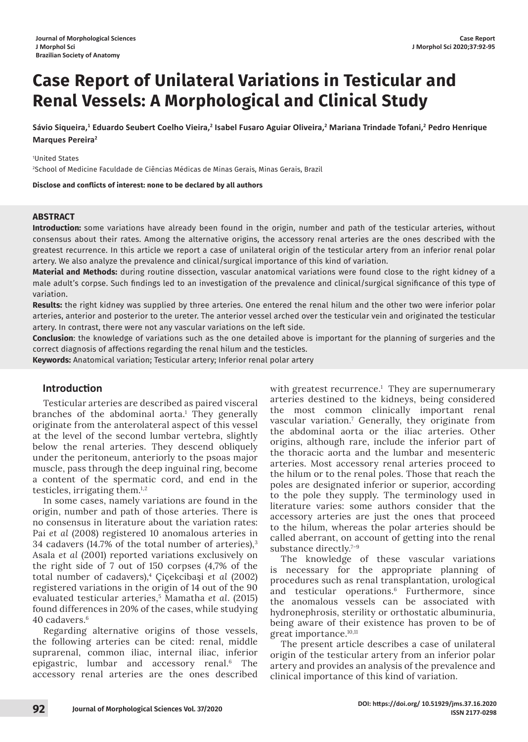# **Case Report of Unilateral Variations in Testicular and Renal Vessels: A Morphological and Clinical Study**

Sávio Siqueira,<sup>1</sup> Eduardo Seubert Coelho Vieira,<sup>2</sup> Isabel Fusaro Aguiar Oliveira,<sup>2</sup> Mariana Trindade Tofani,<sup>2</sup> Pedro Henrique **Marques Pereira2**

1 United States

2 School of Medicine Faculdade de Ciências Médicas de Minas Gerais, Minas Gerais, Brazil

**Disclose and conflicts of interest: none to be declared by all authors**

### **ABSTRACT**

**Introduction:** some variations have already been found in the origin, number and path of the testicular arteries, without consensus about their rates. Among the alternative origins, the accessory renal arteries are the ones described with the greatest recurrence. In this article we report a case of unilateral origin of the testicular artery from an inferior renal polar artery. We also analyze the prevalence and clinical/surgical importance of this kind of variation.

**Material and Methods:** during routine dissection, vascular anatomical variations were found close to the right kidney of a male adult's corpse. Such findings led to an investigation of the prevalence and clinical/surgical significance of this type of variation.

**Results:** the right kidney was supplied by three arteries. One entered the renal hilum and the other two were inferior polar arteries, anterior and posterior to the ureter. The anterior vessel arched over the testicular vein and originated the testicular artery. In contrast, there were not any vascular variations on the left side.

**Conclusion**: the knowledge of variations such as the one detailed above is important for the planning of surgeries and the correct diagnosis of affections regarding the renal hilum and the testicles.

**Keywords:** Anatomical variation; Testicular artery; Inferior renal polar artery

### **Introduction**

Testicular arteries are described as paired visceral branches of the abdominal aorta.<sup>1</sup> They generally originate from the anterolateral aspect of this vessel at the level of the second lumbar vertebra, slightly below the renal arteries. They descend obliquely under the peritoneum, anteriorly to the psoas major muscle, pass through the deep inguinal ring, become a content of the spermatic cord, and end in the testicles, irrigating them.1,2

In some cases, namely variations are found in the origin, number and path of those arteries. There is no consensus in literature about the variation rates: Pai *et al* (2008) registered 10 anomalous arteries in 34 cadavers (14.7% of the total number of arteries),3 Asala *et al* (2001) reported variations exclusively on the right side of 7 out of 150 corpses (4,7% of the total number of cadavers),4 Çiçekcibaşi *et al* (2002) registered variations in the origin of 14 out of the 90 evaluated testicular arteries,5 Mamatha *et al*. (2015) found differences in 20% of the cases, while studying 40 cadavers.6

Regarding alternative origins of those vessels, the following arteries can be cited: renal, middle suprarenal, common iliac, internal iliac, inferior epigastric, lumbar and accessory renal.<sup>6</sup> The accessory renal arteries are the ones described

with greatest recurrence.<sup>1</sup> They are supernumerary arteries destined to the kidneys, being considered the most common clinically important renal vascular variation.7 Generally, they originate from the abdominal aorta or the iliac arteries. Other origins, although rare, include the inferior part of the thoracic aorta and the lumbar and mesenteric arteries. Most accessory renal arteries proceed to the hilum or to the renal poles. Those that reach the poles are designated inferior or superior, according to the pole they supply. The terminology used in literature varies: some authors consider that the accessory arteries are just the ones that proceed to the hilum, whereas the polar arteries should be called aberrant, on account of getting into the renal substance directly.<sup>7-9</sup>

The knowledge of these vascular variations is necessary for the appropriate planning of procedures such as renal transplantation, urological and testicular operations.<sup>6</sup> Furthermore, since the anomalous vessels can be associated with hydronephrosis, sterility or orthostatic albuminuria, being aware of their existence has proven to be of great importance.10,11

The present article describes a case of unilateral origin of the testicular artery from an inferior polar artery and provides an analysis of the prevalence and clinical importance of this kind of variation.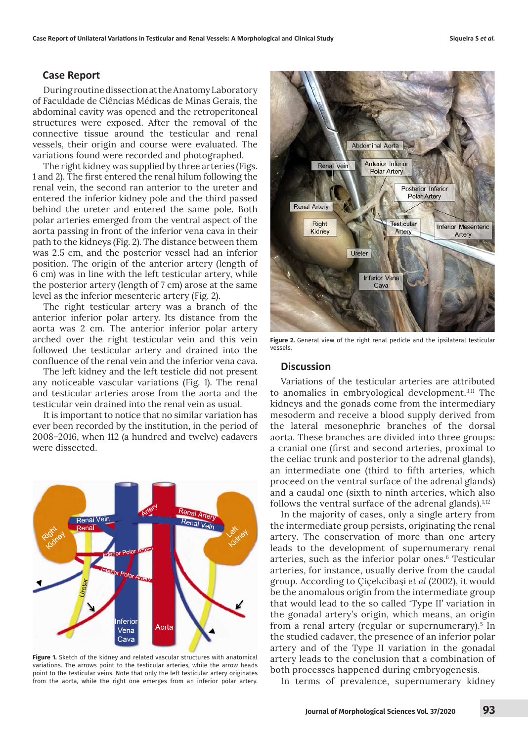## **Case Report**

During routine dissection at the Anatomy Laboratory of Faculdade de Ciências Médicas de Minas Gerais, the abdominal cavity was opened and the retroperitoneal structures were exposed. After the removal of the connective tissue around the testicular and renal vessels, their origin and course were evaluated. The variations found were recorded and photographed.

The right kidney was supplied by three arteries (Figs. 1 and 2). The first entered the renal hilum following the renal vein, the second ran anterior to the ureter and entered the inferior kidney pole and the third passed behind the ureter and entered the same pole. Both polar arteries emerged from the ventral aspect of the aorta passing in front of the inferior vena cava in their path to the kidneys (Fig. 2). The distance between them was 2.5 cm, and the posterior vessel had an inferior position. The origin of the anterior artery (length of 6 cm) was in line with the left testicular artery, while the posterior artery (length of 7 cm) arose at the same level as the inferior mesenteric artery (Fig. 2).

The right testicular artery was a branch of the anterior inferior polar artery. Its distance from the aorta was 2 cm. The anterior inferior polar artery arched over the right testicular vein and this vein followed the testicular artery and drained into the confluence of the renal vein and the inferior vena cava.

The left kidney and the left testicle did not present any noticeable vascular variations (Fig. 1). The renal and testicular arteries arose from the aorta and the testicular vein drained into the renal vein as usual.

It is important to notice that no similar variation has ever been recorded by the institution, in the period of 2008–2016, when 112 (a hundred and twelve) cadavers were dissected.



**Figure 1.** Sketch of the kidney and related vascular structures with anatomical variations. The arrows point to the testicular arteries, while the arrow heads point to the testicular veins. Note that only the left testicular artery originates from the aorta, while the right one emerges from an inferior polar artery.



**Figure 2.** General view of the right renal pedicle and the ipsilateral testicular vessels.

### **Discussion**

Variations of the testicular arteries are attributed to anomalies in embryological development.<sup>3,11</sup> The kidneys and the gonads come from the intermediary mesoderm and receive a blood supply derived from the lateral mesonephric branches of the dorsal aorta. These branches are divided into three groups: a cranial one (first and second arteries, proximal to the celiac trunk and posterior to the adrenal glands), an intermediate one (third to fifth arteries, which proceed on the ventral surface of the adrenal glands) and a caudal one (sixth to ninth arteries, which also follows the ventral surface of the adrenal glands). $1,12$ 

In the majority of cases, only a single artery from the intermediate group persists, originating the renal artery. The conservation of more than one artery leads to the development of supernumerary renal arteries, such as the inferior polar ones.6 Testicular arteries, for instance, usually derive from the caudal group. According to Çiçekcibaşi *et al* (2002), it would be the anomalous origin from the intermediate group that would lead to the so called 'Type II' variation in the gonadal artery's origin, which means, an origin from a renal artery (regular or supernumerary).<sup>5</sup> In the studied cadaver, the presence of an inferior polar artery and of the Type II variation in the gonadal artery leads to the conclusion that a combination of both processes happened during embryogenesis.

In terms of prevalence, supernumerary kidney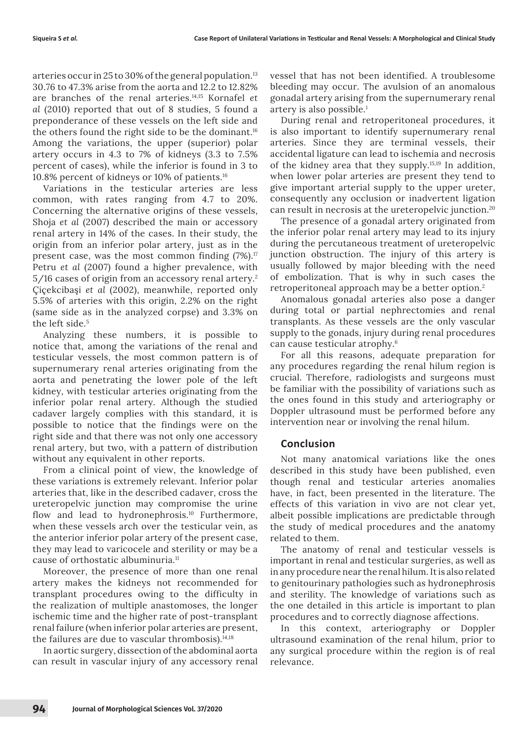arteries occur in 25 to 30% of the general population.<sup>13</sup> 30.76 to 47.3% arise from the aorta and 12.2 to 12.82% are branches of the renal arteries.14,15 Kornafel *et al* (2010) reported that out of 8 studies, 5 found a preponderance of these vessels on the left side and the others found the right side to be the dominant.16 Among the variations, the upper (superior) polar artery occurs in 4.3 to 7% of kidneys (3.3 to 7.5% percent of cases), while the inferior is found in 3 to 10.8% percent of kidneys or 10% of patients.16

Variations in the testicular arteries are less common, with rates ranging from 4.7 to 20%. Concerning the alternative origins of these vessels, Shoja *et al* (2007) described the main or accessory renal artery in 14% of the cases. In their study, the origin from an inferior polar artery, just as in the present case, was the most common finding  $(7\%)$ .<sup>17</sup> Petru *et al* (2007) found a higher prevalence, with 5/16 cases of origin from an accessory renal artery.2 Çiçekcibaşi *et al* (2002), meanwhile, reported only 5.5% of arteries with this origin, 2.2% on the right (same side as in the analyzed corpse) and 3.3% on the left side.<sup>5</sup>

Analyzing these numbers, it is possible to notice that, among the variations of the renal and testicular vessels, the most common pattern is of supernumerary renal arteries originating from the aorta and penetrating the lower pole of the left kidney, with testicular arteries originating from the inferior polar renal artery. Although the studied cadaver largely complies with this standard, it is possible to notice that the findings were on the right side and that there was not only one accessory renal artery, but two, with a pattern of distribution without any equivalent in other reports.

From a clinical point of view, the knowledge of these variations is extremely relevant. Inferior polar arteries that, like in the described cadaver, cross the ureteropelvic junction may compromise the urine flow and lead to hydronephrosis.<sup>10</sup> Furthermore, when these vessels arch over the testicular vein, as the anterior inferior polar artery of the present case, they may lead to varicocele and sterility or may be a cause of orthostatic albuminuria.<sup>11</sup>

Moreover, the presence of more than one renal artery makes the kidneys not recommended for transplant procedures owing to the difficulty in the realization of multiple anastomoses, the longer ischemic time and the higher rate of post-transplant renal failure (when inferior polar arteries are present, the failures are due to vascular thrombosis). $14,18$ 

In aortic surgery, dissection of the abdominal aorta can result in vascular injury of any accessory renal vessel that has not been identified. A troublesome bleeding may occur. The avulsion of an anomalous gonadal artery arising from the supernumerary renal artery is also possible.1

During renal and retroperitoneal procedures, it is also important to identify supernumerary renal arteries. Since they are terminal vessels, their accidental ligature can lead to ischemia and necrosis of the kidney area that they supply.15,19 In addition, when lower polar arteries are present they tend to give important arterial supply to the upper ureter, consequently any occlusion or inadvertent ligation can result in necrosis at the ureteropelvic junction.20

The presence of a gonadal artery originated from the inferior polar renal artery may lead to its injury during the percutaneous treatment of ureteropelvic junction obstruction. The injury of this artery is usually followed by major bleeding with the need of embolization. That is why in such cases the retroperitoneal approach may be a better option.<sup>2</sup>

Anomalous gonadal arteries also pose a danger during total or partial nephrectomies and renal transplants. As these vessels are the only vascular supply to the gonads, injury during renal procedures can cause testicular atrophy.6

For all this reasons, adequate preparation for any procedures regarding the renal hilum region is crucial. Therefore, radiologists and surgeons must be familiar with the possibility of variations such as the ones found in this study and arteriography or Doppler ultrasound must be performed before any intervention near or involving the renal hilum.

### **Conclusion**

Not many anatomical variations like the ones described in this study have been published, even though renal and testicular arteries anomalies have, in fact, been presented in the literature. The effects of this variation in vivo are not clear yet, albeit possible implications are predictable through the study of medical procedures and the anatomy related to them.

The anatomy of renal and testicular vessels is important in renal and testicular surgeries, as well as in any procedure near the renal hilum. It is also related to genitourinary pathologies such as hydronephrosis and sterility. The knowledge of variations such as the one detailed in this article is important to plan procedures and to correctly diagnose affections.

In this context, arteriography or Doppler ultrasound examination of the renal hilum, prior to any surgical procedure within the region is of real relevance.